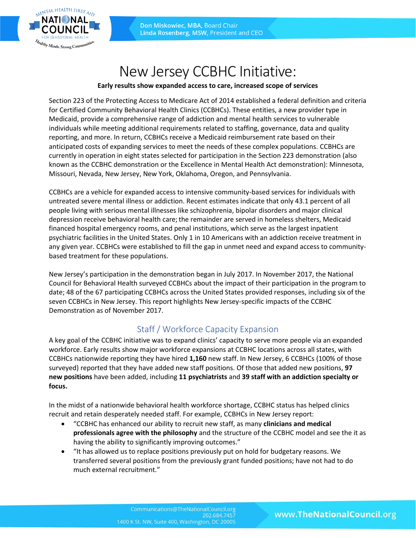

# New Jersey CCBHC Initiative:

#### **Early results show expanded access to care, increased scope of services**

Section 223 of the Protecting Access to Medicare Act of 2014 established a federal definition and criteria for Certified Community Behavioral Health Clinics (CCBHCs). These entities, a new provider type in Medicaid, provide a comprehensive range of addiction and mental health services to vulnerable individuals while meeting additional requirements related to staffing, governance, data and quality reporting, and more. In return, CCBHCs receive a Medicaid reimbursement rate based on their anticipated costs of expanding services to meet the needs of these complex populations. CCBHCs are currently in operation in eight states selected for participation in the Section 223 demonstration (also known as the CCBHC demonstration or the Excellence in Mental Health Act demonstration): Minnesota, Missouri, Nevada, New Jersey, New York, Oklahoma, Oregon, and Pennsylvania.

CCBHCs are a vehicle for expanded access to intensive community-based services for individuals with untreated severe mental illness or addiction. Recent estimates indicate that only 43.1 percent of all people living with serious mental illnesses like schizophrenia, bipolar disorders and major clinical depression receive behavioral health care; the remainder are served in homeless shelters, Medicaid financed hospital emergency rooms, and penal institutions, which serve as the largest inpatient psychiatric facilities in the United States. Only 1 in 10 Americans with an addiction receive treatment in any given year. CCBHCs were established to fill the gap in unmet need and expand access to communitybased treatment for these populations.

New Jersey's participation in the demonstration began in July 2017. In November 2017, the National Council for Behavioral Health surveyed CCBHCs about the impact of their participation in the program to date; 48 of the 67 participating CCBHCs across the United States provided responses, including six of the seven CCBHCs in New Jersey. This report highlights New Jersey-specific impacts of the CCBHC Demonstration as of November 2017.

#### Staff / Workforce Capacity Expansion

A key goal of the CCBHC initiative was to expand clinics' capacity to serve more people via an expanded workforce. Early results show major workforce expansions at CCBHC locations across all states, with CCBHCs nationwide reporting they have hired **1,160** new staff. In New Jersey, 6 CCBHCs (100% of those surveyed) reported that they have added new staff positions. Of those that added new positions, **97 new positions** have been added, including **11 psychiatrists** and **39 staff with an addiction specialty or focus.**

In the midst of a nationwide behavioral health workforce shortage, CCBHC status has helped clinics recruit and retain desperately needed staff. For example, CCBHCs in New Jersey report:

- "CCBHC has enhanced our ability to recruit new staff, as many **clinicians and medical professionals agree with the philosophy** and the structure of the CCBHC model and see the it as having the ability to significantly improving outcomes."
- "It has allowed us to replace positions previously put on hold for budgetary reasons. We transferred several positions from the previously grant funded positions; have not had to do much external recruitment."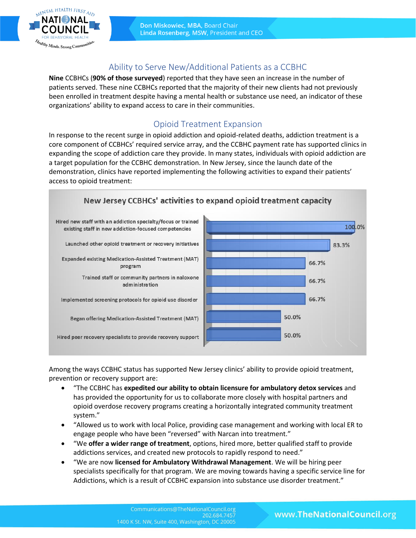

# Ability to Serve New/Additional Patients as a CCBHC

**Nine** CCBHCs (**90% of those surveyed**) reported that they have seen an increase in the number of patients served. These nine CCBHCs reported that the majority of their new clients had not previously been enrolled in treatment despite having a mental health or substance use need, an indicator of these organizations' ability to expand access to care in their communities.

# Opioid Treatment Expansion

In response to the recent surge in opioid addiction and opioid-related deaths, addiction treatment is a core component of CCBHCs' required service array, and the CCBHC payment rate has supported clinics in expanding the scope of addiction care they provide. In many states, individuals with opioid addiction are a target population for the CCBHC demonstration. In New Jersey, since the launch date of the demonstration, clinics have reported implementing the following activities to expand their patients' access to opioid treatment:



Among the ways CCBHC status has supported New Jersey clinics' ability to provide opioid treatment, prevention or recovery support are:

- "The CCBHC has **expedited our ability to obtain licensure for ambulatory detox services** and has provided the opportunity for us to collaborate more closely with hospital partners and opioid overdose recovery programs creating a horizontally integrated community treatment system."
- "Allowed us to work with local Police, providing case management and working with local ER to engage people who have been "reversed" with Narcan into treatment."
- "We **offer a wider range of treatment**, options, hired more, better qualified staff to provide addictions services, and created new protocols to rapidly respond to need."
- "We are now **licensed for Ambulatory Withdrawal Management**. We will be hiring peer specialists specifically for that program. We are moving towards having a specific service line for Addictions, which is a result of CCBHC expansion into substance use disorder treatment."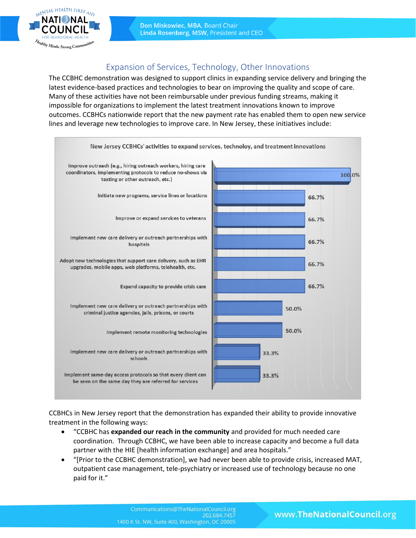

Don Miskowiec, MBA, Board Chair Linda Rosenberg, MSW, President and CEO

# Expansion of Services, Technology, Other Innovations

The CCBHC demonstration was designed to support clinics in expanding service delivery and bringing the latest evidence-based practices and technologies to bear on improving the quality and scope of care. Many of these activities have not been reimbursable under previous funding streams, making it impossible for organizations to implement the latest treatment innovations known to improve outcomes. CCBHCs nationwide report that the new payment rate has enabled them to open new service lines and leverage new technologies to improve care. In New Jersey, these initiatives include:



CCBHCs in New Jersey report that the demonstration has expanded their ability to provide innovative treatment in the following ways:

- "CCBHC has **expanded our reach in the community** and provided for much needed care coordination. Through CCBHC, we have been able to increase capacity and become a full data partner with the HIE [health information exchange] and area hospitals."
- "[Prior to the CCBHC demonstration], we had never been able to provide crisis, increased MAT, outpatient case management, tele-psychiatry or increased use of technology because no one paid for it."